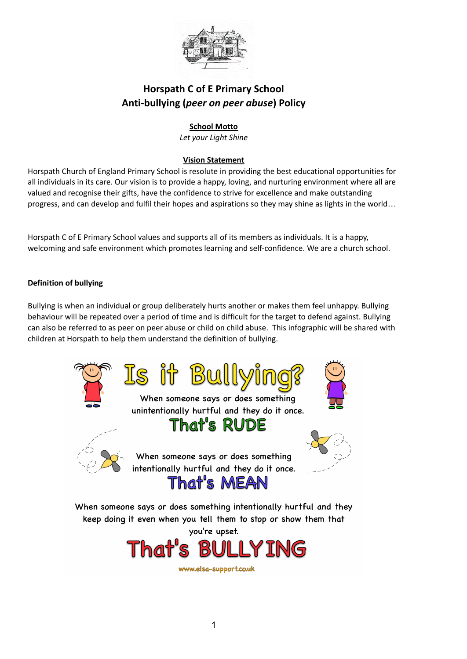

# **Horspath C of E Primary School Anti-bullying (***peer on peer abuse***) Policy**

## **School Motto**

*Let your Light Shine*

## **Vision Statement**

Horspath Church of England Primary School is resolute in providing the best educational opportunities for all individuals in its care. Our vision is to provide a happy, loving, and nurturing environment where all are valued and recognise their gifts, have the confidence to strive for excellence and make outstanding progress, and can develop and fulfil their hopes and aspirations so they may shine as lights in the world…

Horspath C of E Primary School values and supports all of its members as individuals. It is a happy, welcoming and safe environment which promotes learning and self-confidence. We are a church school.

### **Definition of bullying**

Bullying is when an individual or group deliberately hurts another or makes them feel unhappy. Bullying behaviour will be repeated over a period of time and is difficult for the target to defend against. Bullying can also be referred to as peer on peer abuse or child on child abuse. This infographic will be shared with children at Horspath to help them understand the definition of bullying.



you're upset.



www.elsa-support.co.uk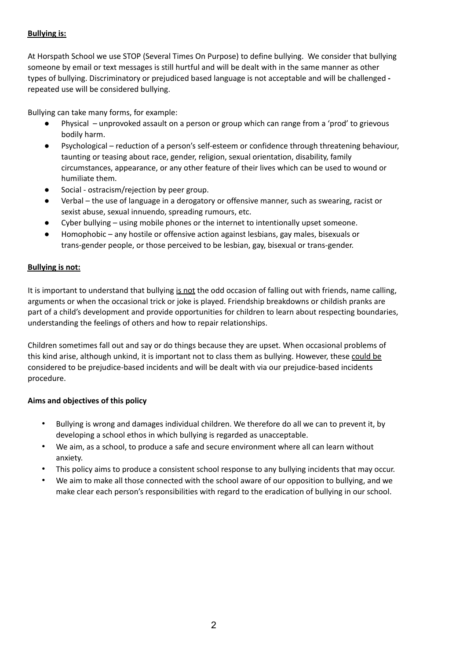## **Bullying is:**

At Horspath School we use STOP (Several Times On Purpose) to define bullying. We consider that bullying someone by email or text messages is still hurtful and will be dealt with in the same manner as other types of bullying. Discriminatory or prejudiced based language is not acceptable and will be challenged  repeated use will be considered bullying.

Bullying can take many forms, for example:

- Physical unprovoked assault on a person or group which can range from a 'prod' to grievous bodily harm.
- Psychological reduction of a person's self-esteem or confidence through threatening behaviour, taunting or teasing about race, gender, religion, sexual orientation, disability, family circumstances, appearance, or any other feature of their lives which can be used to wound or humiliate them.
- Social ostracism/rejection by peer group.
- Verbal the use of language in a derogatory or offensive manner, such as swearing, racist or sexist abuse, sexual innuendo, spreading rumours, etc.
- Cyber bullying using mobile phones or the internet to intentionally upset someone.
- Homophobic any hostile or offensive action against lesbians, gay males, bisexuals or trans-gender people, or those perceived to be lesbian, gay, bisexual or trans-gender.

## **Bullying is not:**

It is important to understand that bullying is not the odd occasion of falling out with friends, name calling, arguments or when the occasional trick or joke is played. Friendship breakdowns or childish pranks are part of a child's development and provide opportunities for children to learn about respecting boundaries, understanding the feelings of others and how to repair relationships.

Children sometimes fall out and say or do things because they are upset. When occasional problems of this kind arise, although unkind, it is important not to class them as bullying. However, these could be considered to be prejudice-based incidents and will be dealt with via our prejudice-based incidents procedure.

### **Aims and objectives of this policy**

- Bullying is wrong and damages individual children. We therefore do all we can to prevent it, by developing a school ethos in which bullying is regarded as unacceptable.
- We aim, as a school, to produce a safe and secure environment where all can learn without anxiety.
- This policy aims to produce a consistent school response to any bullying incidents that may occur.
- We aim to make all those connected with the school aware of our opposition to bullying, and we make clear each person's responsibilities with regard to the eradication of bullying in our school.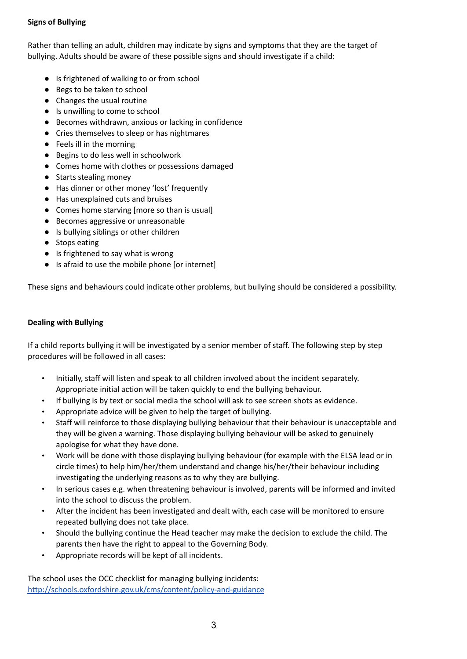## **Signs of Bullying**

Rather than telling an adult, children may indicate by signs and symptoms that they are the target of bullying. Adults should be aware of these possible signs and should investigate if a child:

- Is frightened of walking to or from school
- Begs to be taken to school
- Changes the usual routine
- Is unwilling to come to school
- Becomes withdrawn, anxious or lacking in confidence
- Cries themselves to sleep or has nightmares
- Feels ill in the morning
- Begins to do less well in schoolwork
- Comes home with clothes or possessions damaged
- Starts stealing money
- Has dinner or other money 'lost' frequently
- Has unexplained cuts and bruises
- Comes home starving [more so than is usual]
- Becomes aggressive or unreasonable
- Is bullying siblings or other children
- Stops eating
- Is frightened to say what is wrong
- Is afraid to use the mobile phone [or internet]

These signs and behaviours could indicate other problems, but bullying should be considered a possibility.

#### **Dealing with Bullying**

If a child reports bullying it will be investigated by a senior member of staff. The following step by step procedures will be followed in all cases:

- Initially, staff will listen and speak to all children involved about the incident separately. Appropriate initial action will be taken quickly to end the bullying behaviour.
- If bullying is by text or social media the school will ask to see screen shots as evidence.
- Appropriate advice will be given to help the target of bullying.
- Staff will reinforce to those displaying bullying behaviour that their behaviour is unacceptable and they will be given a warning. Those displaying bullying behaviour will be asked to genuinely apologise for what they have done.
- Work will be done with those displaying bullying behaviour (for example with the ELSA lead or in circle times) to help him/her/them understand and change his/her/their behaviour including investigating the underlying reasons as to why they are bullying.
- In serious cases e.g. when threatening behaviour is involved, parents will be informed and invited into the school to discuss the problem.
- After the incident has been investigated and dealt with, each case will be monitored to ensure repeated bullying does not take place.
- Should the bullying continue the Head teacher may make the decision to exclude the child. The parents then have the right to appeal to the Governing Body.
- Appropriate records will be kept of all incidents.

The school uses the OCC checklist for managing bullying incidents: <http://schools.oxfordshire.gov.uk/cms/content/policy-and-guidance>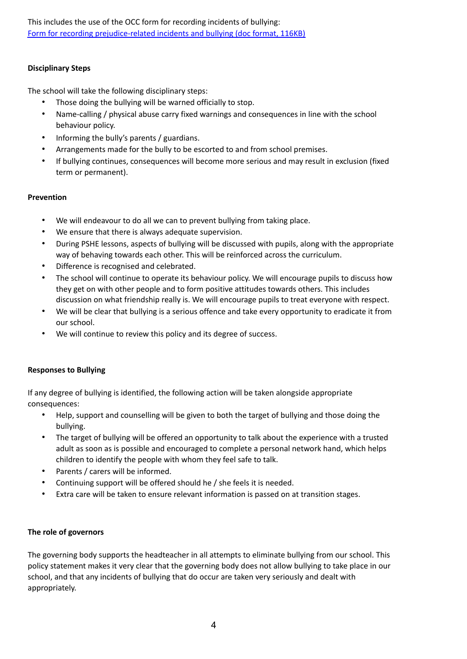This includes the use of the OCC form for recording incidents of bullying: Form for recording [prejudice-related](http://schools.oxfordshire.gov.uk/cms/sites/schools/files/folders/folders/documents/antibullying/policies/Recordingprejudicerelatedincidentorbullyingform.doc) incidents and bullying (doc format, 116KB)

#### **Disciplinary Steps**

The school will take the following disciplinary steps:

- Those doing the bullying will be warned officially to stop.
- Name-calling / physical abuse carry fixed warnings and consequences in line with the school behaviour policy.
- Informing the bully's parents / guardians.
- Arrangements made for the bully to be escorted to and from school premises.
- If bullying continues, consequences will become more serious and may result in exclusion (fixed term or permanent).

#### **Prevention**

- We will endeavour to do all we can to prevent bullying from taking place.
- We ensure that there is always adequate supervision.
- During PSHE lessons, aspects of bullying will be discussed with pupils, along with the appropriate way of behaving towards each other. This will be reinforced across the curriculum.
- Difference is recognised and celebrated.
- The school will continue to operate its behaviour policy. We will encourage pupils to discuss how they get on with other people and to form positive attitudes towards others. This includes discussion on what friendship really is. We will encourage pupils to treat everyone with respect.
- We will be clear that bullying is a serious offence and take every opportunity to eradicate it from our school.
- We will continue to review this policy and its degree of success.

### **Responses to Bullying**

If any degree of bullying is identified, the following action will be taken alongside appropriate consequences:

- Help, support and counselling will be given to both the target of bullying and those doing the bullying.
- The target of bullying will be offered an opportunity to talk about the experience with a trusted adult as soon as is possible and encouraged to complete a personal network hand, which helps children to identify the people with whom they feel safe to talk.
- Parents / carers will be informed.
- Continuing support will be offered should he / she feels it is needed.
- Extra care will be taken to ensure relevant information is passed on at transition stages.

### **The role of governors**

The governing body supports the headteacher in all attempts to eliminate bullying from our school. This policy statement makes it very clear that the governing body does not allow bullying to take place in our school, and that any incidents of bullying that do occur are taken very seriously and dealt with appropriately.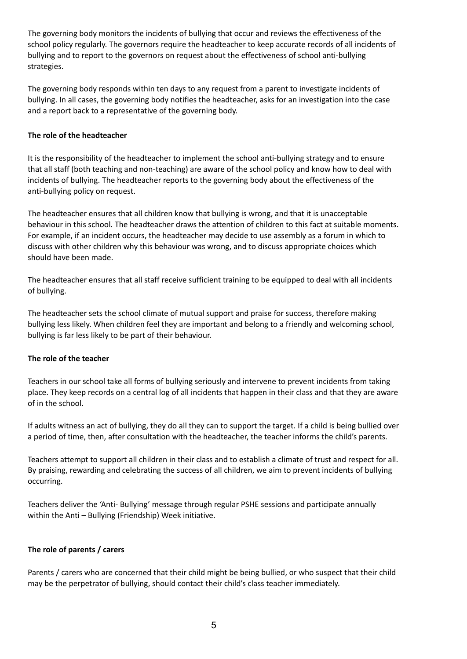The governing body monitors the incidents of bullying that occur and reviews the effectiveness of the school policy regularly. The governors require the headteacher to keep accurate records of all incidents of bullying and to report to the governors on request about the effectiveness of school anti-bullying strategies.

The governing body responds within ten days to any request from a parent to investigate incidents of bullying. In all cases, the governing body notifies the headteacher, asks for an investigation into the case and a report back to a representative of the governing body.

### **The role of the headteacher**

It is the responsibility of the headteacher to implement the school anti-bullying strategy and to ensure that all staff (both teaching and non-teaching) are aware of the school policy and know how to deal with incidents of bullying. The headteacher reports to the governing body about the effectiveness of the anti-bullying policy on request.

The headteacher ensures that all children know that bullying is wrong, and that it is unacceptable behaviour in this school. The headteacher draws the attention of children to this fact at suitable moments. For example, if an incident occurs, the headteacher may decide to use assembly as a forum in which to discuss with other children why this behaviour was wrong, and to discuss appropriate choices which should have been made.

The headteacher ensures that all staff receive sufficient training to be equipped to deal with all incidents of bullying.

The headteacher sets the school climate of mutual support and praise for success, therefore making bullying less likely. When children feel they are important and belong to a friendly and welcoming school, bullying is far less likely to be part of their behaviour.

### **The role of the teacher**

Teachers in our school take all forms of bullying seriously and intervene to prevent incidents from taking place. They keep records on a central log of all incidents that happen in their class and that they are aware of in the school.

If adults witness an act of bullying, they do all they can to support the target. If a child is being bullied over a period of time, then, after consultation with the headteacher, the teacher informs the child's parents.

Teachers attempt to support all children in their class and to establish a climate of trust and respect for all. By praising, rewarding and celebrating the success of all children, we aim to prevent incidents of bullying occurring.

Teachers deliver the 'Anti- Bullying' message through regular PSHE sessions and participate annually within the Anti – Bullying (Friendship) Week initiative.

### **The role of parents / carers**

Parents / carers who are concerned that their child might be being bullied, or who suspect that their child may be the perpetrator of bullying, should contact their child's class teacher immediately.